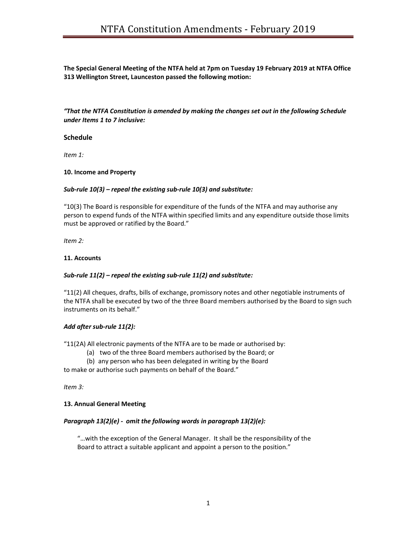The Special General Meeting of the NTFA held at 7pm on Tuesday 19 February 2019 at NTFA Office 313 Wellington Street, Launceston passed the following motion:

"That the NTFA Constitution is amended by making the changes set out in the following Schedule under Items 1 to 7 inclusive:

#### Schedule

Item 1:

## 10. Income and Property

## Sub-rule 10(3) – repeal the existing sub-rule 10(3) and substitute:

"10(3) The Board is responsible for expenditure of the funds of the NTFA and may authorise any person to expend funds of the NTFA within specified limits and any expenditure outside those limits must be approved or ratified by the Board."

Item 2:

#### 11. Accounts

## Sub-rule 11(2) – repeal the existing sub-rule 11(2) and substitute:

"11(2) All cheques, drafts, bills of exchange, promissory notes and other negotiable instruments of the NTFA shall be executed by two of the three Board members authorised by the Board to sign such instruments on its behalf."

## Add after sub-rule 11(2):

"11(2A) All electronic payments of the NTFA are to be made or authorised by:

- (a) two of the three Board members authorised by the Board; or
- (b) any person who has been delegated in writing by the Board

to make or authorise such payments on behalf of the Board."

Item 3:

#### 13. Annual General Meeting

## Paragraph 13(2)(e) - omit the following words in paragraph 13(2)(e):

"…with the exception of the General Manager. It shall be the responsibility of the Board to attract a suitable applicant and appoint a person to the position."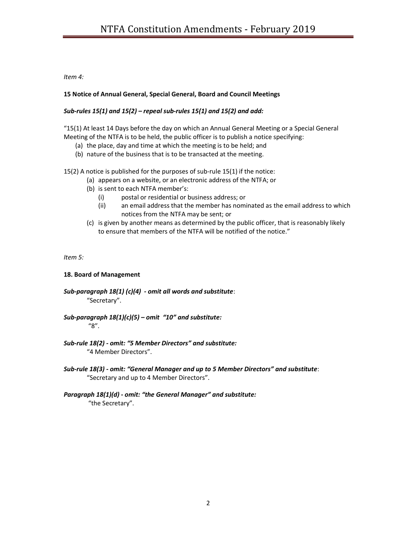# Item 4:

# 15 Notice of Annual General, Special General, Board and Council Meetings

# Sub-rules  $15(1)$  and  $15(2)$  – repeal sub-rules  $15(1)$  and  $15(2)$  and add:

"15(1) At least 14 Days before the day on which an Annual General Meeting or a Special General Meeting of the NTFA is to be held, the public officer is to publish a notice specifying:

- (a) the place, day and time at which the meeting is to be held; and
- (b) nature of the business that is to be transacted at the meeting.

15(2) A notice is published for the purposes of sub-rule 15(1) if the notice:

- (a) appears on a website, or an electronic address of the NTFA; or
- (b) is sent to each NTFA member's:
	- (i) postal or residential or business address; or
	- (ii) an email address that the member has nominated as the email address to which notices from the NTFA may be sent; or
- (c) is given by another means as determined by the public officer, that is reasonably likely to ensure that members of the NTFA will be notified of the notice."

Item 5:

## 18. Board of Management

Sub-paragraph 18(1) (c)(4) - omit all words and substitute: "Secretary".

Sub-paragraph  $18(1)(c)(5)$  – omit "10" and substitute: "8".

Sub-rule 18(2) - omit: "5 Member Directors" and substitute: "4 Member Directors".

Sub-rule 18(3) - omit: "General Manager and up to 5 Member Directors" and substitute: "Secretary and up to 4 Member Directors".

## Paragraph 18(1)(d) - omit: "the General Manager" and substitute: "the Secretary".